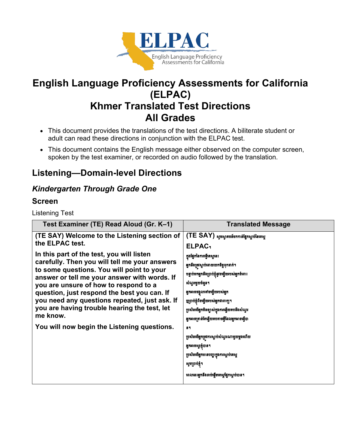

# **English Language Proficiency Assessments for California (ELPAC) Khmer Translated Test Directions All Grades**

- This document provides the translations of the test directions. A biliterate student or adult can read these directions in conjunction with the ELPAC test.
- This document contains the English message either observed on the computer screen, spoken by the test examiner, or recorded on audio followed by the translation.

# **Listening—Domain-level Directions**

## *Kindergarten Through Grade One*

### **Screen**

Listening Test

| Test Examiner (TE) Read Aloud (Gr. K-1)                                                       | <b>Translated Message</b>                           |
|-----------------------------------------------------------------------------------------------|-----------------------------------------------------|
| (TE SAY) Welcome to the Listening section of                                                  | (TE SAY) សូមស្វាគមន៍មកកាន់ផ្នែកស្តាប់នៃតេស្ត        |
| the ELPAC test.                                                                               | ELPAC <sub>1</sub>                                  |
| In this part of the test, you will listen                                                     | ក្នុងផ្នែកនៃការធ្វើតេស្តនេះ                         |
| carefully. Then you will tell me your answers<br>to some questions. You will point to your    | អ្នកនឹងត្រូវស្ដាប់ដោយយកចិត្តទុកដាក់។                |
| answer or tell me your answer with words. If                                                  | បន្ទាប់មកអ្នកនឹងប្រាប់ខ្ញុំខួវចម្លើយរបស់អ្នកចំពោះ   |
| you are unsure of how to respond to a                                                         | សំណួរមួយចំនួន។                                      |
| question, just respond the best you can. If                                                   | អ្នកអាចចង្អុលទៅចម្លើយរបស់អ្នក                       |
| you need any questions repeated, just ask. If<br>you are having trouble hearing the test, let | ញ្ញព្រាប់ខ្ញុំពីចម្លើយរបស់អ្នកជាពាក្យ។              |
| me know.<br>You will now begin the Listening questions.                                       | ប្រសិនបើអ្នកមិនច្បាស់ក្នុងការឆ្លើយតបនឹងសំណួរ        |
|                                                                                               | អ្នកអាចគ្រាន់តែធ្វើយតបតាមអ្វីដែលអ្នកអាចធ្វើបា<br>89 |
|                                                                                               | ប្រសិនបើអ្នកត្រូវការស្តាប់សំណួរណាមួយម្តងហើយ         |
|                                                                                               | អ្នកអាចស្កូរខ្ញុំបាន។                               |
|                                                                                               | ប្រសិនបើអ្នកមានបញ្ហាក្នុងការស្តាប់តេស្ត             |
|                                                                                               | សូមព្រាប់ខ្ញុំ។                                     |
|                                                                                               | ពេលនេះអ្នកនឹងចាប់ផ្តើមតេស្តផ្នែកស្តាប់បាន។          |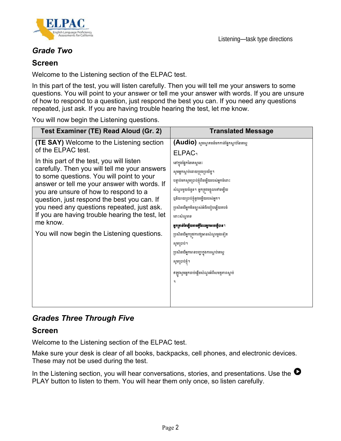

Listening—task type directions

## *Grade Two*

#### **Screen**

Welcome to the Listening section of the ELPAC test.

In this part of the test, you will listen carefully. Then you will tell me your answers to some questions. You will point to your answer or tell me your answer with words. If you are unsure of how to respond to a question, just respond the best you can. If you need any questions repeated, just ask. If you are having trouble hearing the test, let me know.

You will now begin the Listening questions.

| Test Examiner (TE) Read Aloud (Gr. 2)                                                     | <b>Translated Message</b>                          |
|-------------------------------------------------------------------------------------------|----------------------------------------------------|
| <b>(TE SAY)</b> Welcome to the Listening section                                          | (Audio) ស្ទូមស្វាគមន៍មកកាន់ផ្នែកស្តាប់នៃតេស្ត      |
| of the ELPAC test.                                                                        | <b>ELPAC</b> <sup>1</sup>                          |
| In this part of the test, you will listen                                                 | នៅក្នុងផ្នែកនៃតេស្តនេះ                             |
| carefully. Then you will tell me your answers                                             | សូមអ្នកស្ដាប់ដោយប្រុងប្រយ័ត្ន។                     |
| to some questions. You will point to your<br>answer or tell me your answer with words. If | បន្ទាប់មកសូមប្រាប់ខ្ញុំពីចម្លើយរបស់អ្នកចំពោះ       |
| you are unsure of how to respond to a                                                     | សំណួរមួយចំនួន។ អ្នកត្រូវចង្អុលទៅចម្លើយ             |
| question, just respond the best you can. If                                               | ឬនិយាយប្រាប់ខ្ញុំនូវចម្លើយរបស់អ្នក។                |
| you need any questions repeated, just ask.                                                | ប្រសិនបើអ្នកមិនច្បាស់អំពីរបៀបឆ្លើយតបចំ             |
| If you are having trouble hearing the test, let<br>me know.                               | ពោះសំណួរទេ                                         |
|                                                                                           | <b>អ្នកគ្រាន់តែឆ្លើយតាមអ្វីដែលអ្នកអាចធ្វើបាន</b> ។ |
| You will now begin the Listening questions.                                               | ប្រសិនបើអ្នកត្រវការឲ្យអានសំណួរម្តងទៀត              |
|                                                                                           | សូមប្រាប់។                                         |
|                                                                                           | ប្រសិនបើអ្នកមានបញ្ហាក្នុងការស្តាប់តេស្ត            |
|                                                                                           | សូមប្រាប់ខ្ញុំ។                                    |
|                                                                                           | ឥឡូវសូមអ្នកចាប់ផ្តើមសំណួរអំពីសមត្ថភាពស្តាប់        |
|                                                                                           | ୳                                                  |
|                                                                                           |                                                    |
|                                                                                           |                                                    |

## *Grades Three Through Five*

#### **Screen**

Welcome to the Listening section of the ELPAC test.

Make sure your desk is clear of all books, backpacks, cell phones, and electronic devices. These may not be used during the test.

In the Listening section, you will hear conversations, stories, and presentations. Use the  $\bullet$ PLAY button to listen to them. You will hear them only once, so listen carefully.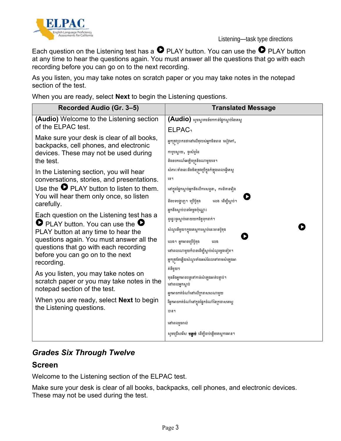

Each question on the Listening test has a  $\bullet$  PLAY button. You can use the  $\bullet$  PLAY button at any time to hear the questions again. You must answer all the questions that go with each recording before you can go on to the next recording.

As you listen, you may take notes on scratch paper or you may take notes in the notepad section of the test.

When you are ready, select **Next** to begin the Listening questions.

| Recorded Audio (Gr. 3-5)                                                                                                                                                                                                                                                                                                           | <b>Translated Message</b>                                                                                                                                                                                                                                                                |
|------------------------------------------------------------------------------------------------------------------------------------------------------------------------------------------------------------------------------------------------------------------------------------------------------------------------------------|------------------------------------------------------------------------------------------------------------------------------------------------------------------------------------------------------------------------------------------------------------------------------------------|
| (Audio) Welcome to the Listening section<br>of the ELPAC test.                                                                                                                                                                                                                                                                     | (Audio) ស្ទមស្វាគមន៍មកកាន់ផ្នែកស្តាប់នៃតេស្ត                                                                                                                                                                                                                                             |
| Make sure your desk is clear of all books,<br>backpacks, cell phones, and electronic<br>devices. These may not be used during<br>the test.<br>In the Listening section, you will hear<br>conversations, stories, and presentations.<br>Use the $\bullet$ PLAY button to listen to them.<br>You will hear them only once, so listen | <b>ELPAC</b><br>អ្នកត្រវប្រាកដថានៅលើតុរបស់អ្នកមិនមាន សៀវភៅ,<br>កាបូបស្ពាយ, ទូរស័ព្ទដៃ<br>និងឧបករណ៍អេឡិចត្រនិចណាមួយទេ។<br>សំភារៈទាំងនេះនឹងមិនត្រវប្រើក្នុងកំឡុងពេលធ្វើតេស្ត<br>ព្រូ។<br>នៅក្នុងផ្នែកស្ដាប់អ្នកនឹងលឹការសន្ទនា, ការនិទានវឿង<br>និងបទបង្ហាញ។ ប្រើប៊ូតុង<br>លេង ដើម្បីស្តាប់។ |
| carefully.<br>Each question on the Listening test has a<br>$\bullet$ PLAY button. You can use the $\bullet$<br>PLAY button at any time to hear the<br>questions again. You must answer all the<br>questions that go with each recording<br>before you can go on to the next<br>recording.                                          | អ្នកនឹងស្តាប់បានតែម្តងប៉ុណ្ណោះ<br>ដូច្នេះចូរស្ដាប់ដោយយកចិត្តទុកដាក់។<br>សំណួរនីមួយៗក្នុងតេស្តការស្តាប់នេះមានប៊ូតុង<br>លេង។ អ្នកអាចប្រើប៊ូតុង<br>លេង<br>នៅពេលណាមួយក៏បានដើម្បីស្តាប់សំណួរម្តងទៀត។<br>អ្នកត្រវតែឆ្លើយសំណួរទាំងអស់ដែលទៅតាមសំឡេងអា                                            |
| As you listen, you may take notes on<br>scratch paper or you may take notes in the<br>notepad section of the test.<br>When you are ready, select <b>Next</b> to begin<br>the Listening questions.                                                                                                                                  | ត់នីមួយៗ<br>មុននឹងអ្នកអាចបន្តទៅកាន់សំឡេងអាត់បន្ទាប់។<br>នៅពេលអ្នកស្ដាប់<br>អ្នកអាចកត់ចំណាំនៅលើក្រដាសសណាមួយ<br>រឹអ្នកអាចកត់ចំណាំនៅក្នុងផ្នែកចំណាំនៃក្រដាសតេស្ត<br>បាន។                                                                                                                    |
|                                                                                                                                                                                                                                                                                                                                    | នៅពេលរួចរាល់<br>សូមជ្រើសរើស <b>បន្ទាប់</b> ដើម្បីចាប់ផ្តើមតេស្តការអាន។                                                                                                                                                                                                                   |

## *Grades Six Through Twelve*

#### **Screen**

Welcome to the Listening section of the ELPAC test.

Make sure your desk is clear of all books, backpacks, cell phones, and electronic devices. These may not be used during the test.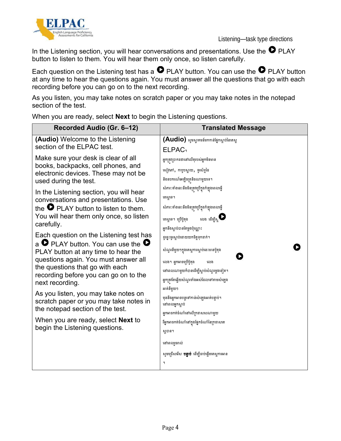



In the Listening section, you will hear conversations and presentations. Use the  $\bullet$  PLAY button to listen to them. You will hear them only once, so listen carefully.

Each question on the Listening test has a  $\bullet$  PLAY button. You can use the  $\bullet$  PLAY button at any time to hear the questions again. You must answer all the questions that go with each recording before you can go on to the next recording.

As you listen, you may take notes on scratch paper or you may take notes in the notepad section of the test.

**Recorded Audio (Gr. 6–12) Translated Message (Audio)** Welcome to the Listening (Audio) សូមស្វាគមន៍មកកាន់ផ្នែកស្តាប់នៃតេស្ត section of the ELPAC test. ELPAC។ Make sure your desk is clear of all អ្ែកត្េូវត្ាកែថាតៅតលើេុរបស់អ្ែកមិនមាន books, backpacks, cell phones, and សៀវភៅ, កាបូបស្ពាយ, ទូរស័ព្ទដៃ electronic devices. These may not be និងឧបករណ៍តអ្ឡិចត្េូនិចណាមួយតទ។ used during the test. សំភារៈទាំងនេះនឹងមិនត្រវក្រើក្នុងកំឡុងពេលធ្វើ In the Listening section, you will hear តេសាតទ។ conversations and presentations. Use the  $\bullet$  PLAY button to listen to them. សំភារៈទាំងនេះនឹងមិនត្រវប្រើក្នុងកំឡុងពេលធ្វើ You will hear them only once, so listen គេស្គូទេ។ ប្រើប៊ូតុង លេង ដើម្បីស្ត $\bullet$ carefully. អ្នកនឹងស្តាប់បានតែម្តងប៉ុណ្ណោះ Each question on the Listening test has ដូច្នេះចូរស្ដាប់ដោយយកចិត្តទុកដាក់។ a  $\bullet$  PLAY button. You can use the  $\bullet$ ß សំណួរនីមួយៗក្នុងតេស្តការស្តាប់នេះមានប៊ូតុង PLAY button at any time to hear the D questions again. You must answer all លេង។ អ្នកអាចច្រើប៊ូតុង លេង the questions that go with each នៅពេលណាមួយក៏បានដើម្បីស្តាប់សំណួរម្តងទៀត។ recording before you can go on to the អ្នកត្រវតែឆ្លើយសំណួរទាំងអស់ដែលទៅតាមសំឡេង next recording. អាេ់នីមួយៗ As you listen, you may take notes on មុននឹងអ្នកអាចបន្តទៅកាន់សំឡេងអាត់បន្ទាប់។ scratch paper or you may take notes in តៅតពលអ្ែកស្វា ប់ the notepad section of the test. អ្ែកអាចកេ់ចុំណាុំតៅតលើត្កោសសណាមួយ When you are ready, select **Next** to រឹអ្នកអាចកត់ចំណាំនៅក្នុងផ្នែកចំណាំនៃក្រដាសតេ begin the Listening questions. សាាន។ តៅតពលរួចរាល់ សូមជ្រើសរើស **បន្ទាប់** ដើម្បីចាប់ផ្តើមតេស្តការអាន ។

When you are ready, select **Next** to begin the Listening questions.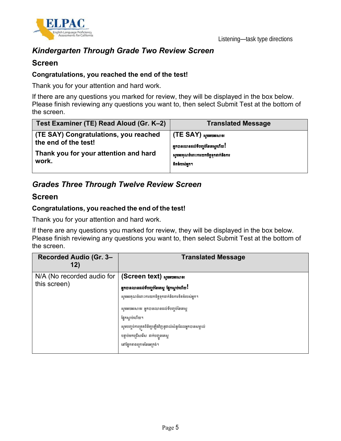

## *Kindergarten Through Grade Two Review Screen*

#### **Screen**

#### **Congratulations, you reached the end of the test!**

Thank you for your attention and hard work.

If there are any questions you marked for review, they will be displayed in the box below. Please finish reviewing any questions you want to, then select Submit Test at the bottom of the screen.

| Test Examiner (TE) Read Aloud (Gr. K–2) | <b>Translated Message</b>             |
|-----------------------------------------|---------------------------------------|
| (TE SAY) Congratulations, you reached   | $\mid$ (TE SAY) សូមអបអរសាទរ           |
| the end of the test!                    | អ្នកបានឈានដល់ទីបញ្ចប់នៃតេស្តហើយ !     |
| Thank you for your attention and hard   | ស្ទមអរគុណចំពោះការយកចិត្តទុកដាក់និងការ |
| work.                                   | ទិតទំរបស់អក។                          |

## *Grades Three Through Twelve Review Screen*

#### **Screen**

#### **Congratulations, you reached the end of the test!**

Thank you for your attention and hard work.

If there are any questions you marked for review, they will be displayed in the box below. Please finish reviewing any questions you want to, then select Submit Test at the bottom of the screen.

| Recorded Audio (Gr. 3-<br>12)                | <b>Translated Message</b>                                                                                                                                                                                                                                                                                                      |
|----------------------------------------------|--------------------------------------------------------------------------------------------------------------------------------------------------------------------------------------------------------------------------------------------------------------------------------------------------------------------------------|
| N/A (No recorded audio for  <br>this screen) | (Screen text) லுள்ளுக்கு<br>អ្នកបានឈានដល់ទីបញ្ចប់នៃតេស្ត ផ្នែកស្តាប់ហើយ!<br>សូមអរគុណចំពោះការយកចិត្តទុកដាក់និងការខិតខំរបស់អ្នក។<br>សូមអបអរសាទរ អ្នកបានឈានដល់ទីបញ្ចប់នៃតេស្ត<br>ផ្នែកស្ដាប់ហើយ។<br>សូមបញ្ចប់ការត្រួតពិនិត្យឡើងវិញនូវរាល់សំនួរដែលអ្នកបានសម្គាល់<br>បន្ទាប់មកជ្រើសរើស ដាក់បញ្ជូនតេស្ត<br>នៅផ្នែកខាងក្រោមនៃអេក្រង់។ |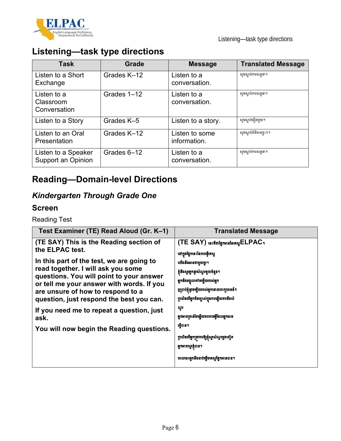

# **Listening—task type directions**

| <b>Task</b>                               | Grade       | <b>Message</b>                 | <b>Translated Message</b> |
|-------------------------------------------|-------------|--------------------------------|---------------------------|
| Listen to a Short<br>Exchange             | Grades K-12 | Listen to a<br>conversation.   | សូមស្ដាប់ការសន្ទនា។       |
| Listen to a<br>Classroom<br>Conversation  | Grades 1-12 | Listen to a<br>conversation.   | សូមស្ដាប់ការសន្ទនា។       |
| Listen to a Story                         | Grades K-5  | Listen to a story.             | សូមស្ដាប់រឿងមួយ។          |
| Listen to an Oral<br>Presentation         | Grades K-12 | Listen to some<br>information. | សូមស្ដាប់ព័ត៌មានខ្លះៗ។    |
| Listen to a Speaker<br>Support an Opinion | Grades 6-12 | Listen to a<br>conversation.   | សូមស្ដាប់ការសន្ទនា។       |

# **Reading—Domain-level Directions**

# *Kindergarten Through Grade One*

### **Screen**

Reading Test

| Test Examiner (TE) Read Aloud (Gr. K–1)                                                                                                                                                                                                                   | <b>Translated Message</b>                                                                                                                                                              |
|-----------------------------------------------------------------------------------------------------------------------------------------------------------------------------------------------------------------------------------------------------------|----------------------------------------------------------------------------------------------------------------------------------------------------------------------------------------|
| (TE SAY) This is the Reading section of<br>the ELPAC test.                                                                                                                                                                                                | (TE SAY) នេះគឺជាផ្នែកអាននៃគេស្នូELPAC1<br>នៅក្នុងផ្នែកនេះនៃការធ្វើតេស្ត                                                                                                                |
| In this part of the test, we are going to<br>read together. I will ask you some<br>questions. You will point to your answer<br>or tell me your answer with words. If you<br>are unsure of how to respond to a<br>question, just respond the best you can. | យើងនឹងអានជាមួយគ្នា។<br>ខ្ញុំនឹងសូរអ្នកនូវសំណួរមួយចំនួន។<br>អ្នកនឹងចង្អុលទៅចម្លើយរបស់អ្នក<br>ញ្ញប្រាប់ខ្ញុំខួវចម្លើយរបស់អ្នកដោយពាក្យពេចន៍។<br>ប្រសិនបើអ្នកមិនច្បាស់ក្នុងការឆ្លើយតបនឹងសំ |
| If you need me to repeat a question, just<br>ask.<br>You will now begin the Reading questions.                                                                                                                                                            | ណូរ<br>អ្នកអាចគ្រាន់តែឆ្លើយតបតាមអ្វីដែលអ្នកអាច<br>ធ្វើបាន។<br>ប្រសិនបើអ្នកត្រូវការឱ្យខ្ញុំស្ទួរសំណួរម្តងទៀត<br>អ្នកអាចសូរខ្ញុំបាន។<br>ពេលនេះអ្នកនឹងចាប់ផ្តើមតេស្តផ្នែកអានបាន។          |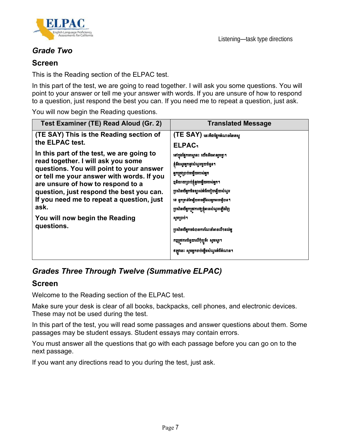

## *Grade Two*

#### **Screen**

This is the Reading section of the ELPAC test.

In this part of the test, we are going to read together. I will ask you some questions. You will point to your answer or tell me your answer with words. If you are unsure of how to respond to a question, just respond the best you can. If you need me to repeat a question, just ask.

You will now begin the Reading questions.

| Test Examiner (TE) Read Aloud (Gr. 2)                                          | <b>Translated Message</b>                     |
|--------------------------------------------------------------------------------|-----------------------------------------------|
| (TE SAY) This is the Reading section of                                        | (TE SAY) នេះគឺជាផ្នែកតំណាននៃគេស្គ             |
| the ELPAC test.                                                                | ELPAC <sub>1</sub>                            |
| In this part of the test, we are going to                                      | នៅក្នុងផ្នែកតេស្តនេះ យើងនឹងអានរួមគ្នា។        |
| read together. I will ask you some<br>questions. You will point to your answer | ខ្ញុំនឹងស្ទួរអ្នកនូវសំណួរមួយចំនួន។            |
| or tell me your answer with words. If you                                      | អ្នកត្រូវប្រាប់ចម្លើយរបស់អ្នក                 |
| are unsure of how to respond to a                                              | <b>ឬនិយាយប្រាប់ខ្ញុំនូវចម្លើយរបស់អ្នក។</b>    |
| question, just respond the best you can.                                       | ប្រសិនបើអ្នកមិនច្បាស់អំពីរបៀបឆ្លើយសំណួរ       |
| If you need me to repeat a question, just                                      | ទេ អ្នកគ្រាន់តែធ្វើយតាមអ្វីដែលអ្នកអាចធ្វើបាន។ |
| ask.                                                                           | ប្រសិនបើអ្នកត្រូវការឲ្យខ្ញុំអានសំណួរឡើងវិញ    |
| You will now begin the Reading                                                 | សូមប្រាប់។                                    |
| questions.                                                                     | ប្រសិនបើអ្នកចង់បានការណែនាំអានលឺ១ដល់អ្ន        |
|                                                                                | កប្បត្រវការជំនួយលើកុំព្យូទ័រ សូមស្លូវ។        |
|                                                                                | ឥឡូវនេះ សូមអ្នកចាប់ធ្វើមសំណួរអំពីអំណាន។       |

## *Grades Three Through Twelve (Summative ELPAC)*

#### **Screen**

Welcome to the Reading section of the ELPAC test.

Make sure your desk is clear of all books, backpacks, cell phones, and electronic devices. These may not be used during the test.

In this part of the test, you will read some passages and answer questions about them. Some passages may be student essays. Student essays may contain errors.

You must answer all the questions that go with each passage before you can go on to the next passage.

If you want any directions read to you during the test, just ask.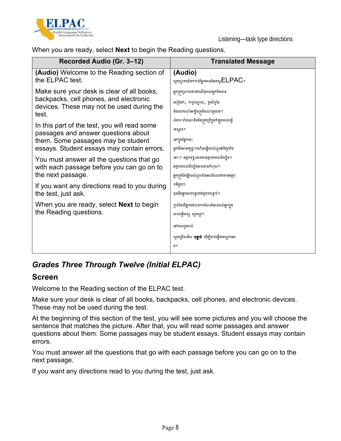

When you are ready, select **Next** to begin the Reading questions.

| Recorded Audio (Gr. 3-12)                                                                                                                                               | <b>Translated Message</b>                                                   |
|-------------------------------------------------------------------------------------------------------------------------------------------------------------------------|-----------------------------------------------------------------------------|
| (Audio) Welcome to the Reading section of                                                                                                                               | (Audio)                                                                     |
| the ELPAC test.                                                                                                                                                         | សូមស្វាគមន៍មកកាន់ផ្នែកអាននៃតេស្ត $\mathsf{ELPAC}$ ។                         |
| Make sure your desk is clear of all books,                                                                                                                              | អ្នកត្រវប្រាកដថានៅលើតុរបស់អ្នកមិនមាន                                        |
| backpacks, cell phones, and electronic                                                                                                                                  | សៀវភៅ, កាបូបស្ពាយ, ទូរស័ព្ទដៃ                                               |
| devices. These may not be used during the                                                                                                                               | និងឧបករណ៍អេឡិចត្រនិចណាមួយទេ។                                                |
| test.                                                                                                                                                                   | សំភារៈទាំងនេះនឹងមិនត្រូវប្រើក្នុងកំឡុងពេលធ្វើ                               |
| In this part of the test, you will read some<br>passages and answer questions about<br>them. Some passages may be student<br>essays. Student essays may contain errors. | តេស្តទេ។<br>នៅក្នុងផ្នែកនេះ<br>អ្នកនឹងអានវគ្គខ្លះៗហើយឆ្លើយសំណួរអំពីវគ្គទាំង |
| You must answer all the questions that go                                                                                                                               | នោះ។ អត្ថបទខ្លះអាចជាអត្ថបទរបស់និស្សិត។                                      |
| with each passage before you can go on to                                                                                                                               | អត្ថបទរបស់និស្សិតអាចមានកំហុស។                                               |
| the next passage.                                                                                                                                                       | អ្នកត្រវតែឆ្លើយសំណួរទាំងអស់ដែលទៅតាមអត្ថប                                    |
| If you want any directions read to you during                                                                                                                           | ទនីមួយៗ                                                                     |
| the test, just ask.                                                                                                                                                     | មុននឹងអ្នកអាចបន្តទៅអត្ថបទបន្ទាប់។                                           |
| When you are ready, select <b>Next</b> to begin                                                                                                                         | ប្រសិនបើអ្នកចង់បានការណែនាំអានដល់អ្នកក្នុង                                   |
| the Reading questions.                                                                                                                                                  | ពេលធ្វើតេស្ត សូមសូរ។                                                        |
|                                                                                                                                                                         | នៅពេលរួចរាល់                                                                |
|                                                                                                                                                                         | សូមជ្រើសរើស <b>បន្ទាប់</b> ដើម្បីចាប់ផ្តើមតេស្តការអា<br>ន។                  |
|                                                                                                                                                                         |                                                                             |

## *Grades Three Through Twelve (Initial ELPAC)*

#### **Screen**

Welcome to the Reading section of the ELPAC test.

Make sure your desk is clear of all books, backpacks, cell phones, and electronic devices. These may not be used during the test.

At the beginning of this section of the test, you will see some pictures and you will choose the sentence that matches the picture. After that, you will read some passages and answer questions about them. Some passages may be student essays. Student essays may contain errors.

You must answer all the questions that go with each passage before you can go on to the next passage.

If you want any directions read to you during the test, just ask.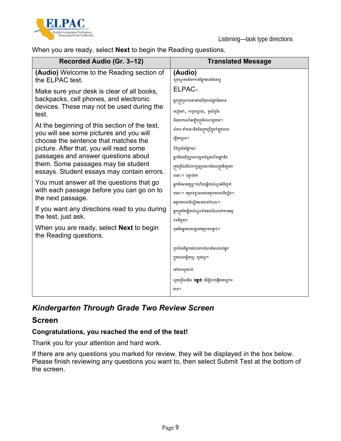

When you are ready, select **Next** to begin the Reading questions.

| Recorded Audio (Gr. 3-12)                                                                                                                                                                                                                                                                              | <b>Translated Message</b>                                                                                                                                                          |
|--------------------------------------------------------------------------------------------------------------------------------------------------------------------------------------------------------------------------------------------------------------------------------------------------------|------------------------------------------------------------------------------------------------------------------------------------------------------------------------------------|
| (Audio) Welcome to the Reading section of<br>the ELPAC test.                                                                                                                                                                                                                                           | (Audio)<br>សូមស្វាគមន៍មកកាន់ផ្នែកអាននៃតេស្ត                                                                                                                                        |
| Make sure your desk is clear of all books,<br>backpacks, cell phones, and electronic<br>devices. These may not be used during the<br>test.                                                                                                                                                             | <b>ELPAC</b><br>អ្នកត្រវប្រាកដថានៅលើតុរបស់អ្នកមិនមាន<br>សៀវភៅ, កាបូបស្ពាយ, ទូរស័ព្ទដៃ<br>និងឧបករណ៍អេឡិចត្រនិចណាមួយទេ។                                                              |
| At the beginning of this section of the test,<br>you will see some pictures and you will<br>choose the sentence that matches the<br>picture. After that, you will read some<br>passages and answer questions about<br>them. Some passages may be student<br>essays. Student essays may contain errors. | សំភារៈទាំងនេះនឹងមិនត្រូវប្រើក្នុងកំឡុងពេល<br>ធ្វើតេស្តទេ។<br>ពីដំបូងនៃផ្នែកនេះ<br>អ្នកនឹងឃើញរូបភាពមួយចំនួនហើយអ្នកនឹង<br>ត្រវជ្រើសរើសពាក្យឬប្រយោគដែលត្រវនឹងរូបភា<br>ពនោះ។ បន្ទាប់មក |
| You must answer all the questions that go<br>with each passage before you can go on to<br>the next passage.                                                                                                                                                                                            | អ្នកនឹងអានវគ្គខ្លះៗហើយឆ្លើយសំណួរអំពីវគ្គទាំ<br>ងនោះ។ អត្ថបទខ្លះអាចជាអត្ថបទរបស់និស្សិត។<br>អត្ថបទរបស់និស្សិតអាចមានកំហុស។                                                            |
| If you want any directions read to you during<br>the test, just ask.                                                                                                                                                                                                                                   | អ្នកត្រវតែឆ្លើយសំណួរទាំងអស់ដែលទៅតាមអត្ថ<br>បទនីមួយៗ                                                                                                                                |
| When you are ready, select <b>Next</b> to begin<br>the Reading questions.                                                                                                                                                                                                                              | មុននឹងអ្នកអាចបន្តទៅអត្ថបទបន្ទាប់។                                                                                                                                                  |
|                                                                                                                                                                                                                                                                                                        | ប្រសិនបើអ្នកចង់បានការណែនាំអានដល់អ្នក                                                                                                                                               |
|                                                                                                                                                                                                                                                                                                        | ក្នុងពេលធ្វើតេស្ត សូមសូរ។                                                                                                                                                          |
|                                                                                                                                                                                                                                                                                                        | នៅពេលរួចរាល់                                                                                                                                                                       |
|                                                                                                                                                                                                                                                                                                        | សូមជ្រើសរើស <b>បន្ទាប់</b> ដើម្បីចាប់ផ្តើមតេស្តការ                                                                                                                                 |
|                                                                                                                                                                                                                                                                                                        | អាន។                                                                                                                                                                               |

## *Kindergarten Through Grade Two Review Screen*

#### **Screen**

#### **Congratulations, you reached the end of the test!**

Thank you for your attention and hard work.

If there are any questions you marked for review, they will be displayed in the box below. Please finish reviewing any questions you want to, then select Submit Test at the bottom of the screen.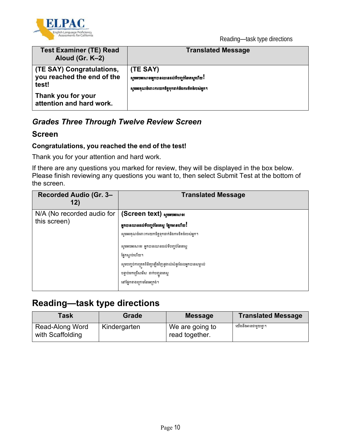



| <b>Test Examiner (TE) Read</b><br>Aloud (Gr. K-2)                | <b>Translated Message</b>                                                                                      |
|------------------------------------------------------------------|----------------------------------------------------------------------------------------------------------------|
| (TE SAY) Congratulations,<br>you reached the end of the<br>test! | (TE SAY)<br>សូមអបអរសាទរអ្នកបានឈានដល់ទីបញ្ចប់នៃគេស្គូហើយ!<br>សូមអរគុណចំពោះការយកចិត្តទុកដាក់និងការខិតខំរបស់អ្នក។ |
| Thank you for your<br>attention and hard work.                   |                                                                                                                |

## *Grades Three Through Twelve Review Screen*

#### **Screen**

#### **Congratulations, you reached the end of the test!**

Thank you for your attention and hard work.

If there are any questions you marked for review, they will be displayed in the box below. Please finish reviewing any questions you want to, then select Submit Test at the bottom of the screen.

| Recorded Audio (Gr. 3-<br>12)                                                                                                       | <b>Translated Message</b>                                                                                                                                                                                                                                                                           |
|-------------------------------------------------------------------------------------------------------------------------------------|-----------------------------------------------------------------------------------------------------------------------------------------------------------------------------------------------------------------------------------------------------------------------------------------------------|
| $N/A$ (No recorded audio for $ $ (Screen text) $N$ $\alpha$ $\beta$ $\beta$ $\beta$ $\beta$ $\beta$ $\beta$ $\beta$<br>this screen) | <b>អ្នកបានឈានដល់ទីបញ្ចប់នៃតេស្ត ផ្នែកអានហើយ</b> !<br>សូមអរគុណចំពោះការយកចិត្តទុកដាក់និងការខិតខំរបស់អ្នក។<br>សូមអបអរសាទរ អ្នកបានឈានដល់ទីបញ្ចប់នៃតេស្ត<br>ផែកសាប់ហើយ។<br>សូមបញ្ចប់ការត្រួតពិនិត្យឡើងវិញនូវរាល់សំនួរដែលអ្នកបានសម្គាល់<br>បន្ទាប់មកជ្រើសរើស ដាក់បញ្ជូនតេស្ត<br>នៅផ្នែកខាងក្រោមនៃអេក្រង់។ |

# **Reading—task type directions**

| Task                                | Grade        | <b>Message</b>                    | <b>Translated Message</b> |
|-------------------------------------|--------------|-----------------------------------|---------------------------|
| Read-Along Word<br>with Scaffolding | Kindergarten | We are going to<br>read together. | យើងនឹងអានជាមយគា។          |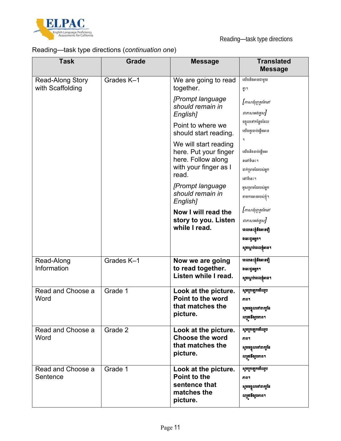

## Reading—task type directions (*continuation one*)

| <b>Task</b>                                 | <b>Grade</b> | <b>Message</b>                                                                   | <b>Translated</b><br><b>Message</b>                               |
|---------------------------------------------|--------------|----------------------------------------------------------------------------------|-------------------------------------------------------------------|
| <b>Read-Along Story</b><br>with Scaffolding | Grades K-1   | We are going to read<br>together.                                                | យើងនឹងអានជាមួយ<br>ุฏฯ                                             |
|                                             |              | [Prompt language<br>should remain in                                             | [ភាសាជំរុញគួរតែនៅ<br>ជាភាសាអង់គ្លេស]                              |
|                                             |              | English]<br>Point to where we                                                    | ចង្អុលទៅកន្លែងដែល<br>យើងគួរចាប់ផ្តើមអាន                           |
|                                             |              | should start reading.<br>We will start reading                                   |                                                                   |
|                                             |              | here. Put your finger<br>here. Follow along<br>with your finger as I             | យើងនឹងចាប់ផ្តើមអា<br>ននៅទីនេះ។                                    |
|                                             |              | read.<br>[Prompt language                                                        | ដាក់ម្រាមដៃរបស់អ្នក<br>នៅទីនេះ។                                   |
|                                             |              | should remain in<br>English]                                                     | អូសម្រាមដៃរបស់អ្នក<br>តាមការអានរបស់ខ្ញុំ។                         |
|                                             |              | Now I will read the<br>story to you. Listen                                      | [ភាសាជំរុញគួរតែនៅ<br>ជាភាសាអង់គ្លេស]                              |
|                                             |              | while I read.                                                                    | ពេលនេះខ្ញុំនឹងអានជឿ<br>ងនេះជួនអ្នក។                               |
|                                             |              |                                                                                  | សូមស្តាប់ពេលខ្ញុំអាន។                                             |
| Read-Along<br>Information                   | Grades K-1   | Now we are going<br>to read together.<br>Listen while I read.                    | ពេលនេះខ្ញុំនឹងអានជឿ<br>ងនេះជួនអ្នក។<br>សូមស្ដាប់ពេលខ្ញុំអាន។      |
| Read and Choose a<br>Word                   | Grade 1      | Look at the picture.<br>Point to the word<br>that matches the<br>picture.        | សូមព្រឡេកមើលរូប<br>ភាព។<br>សូមចង្អុលទៅពាក្យដែ                     |
| Read and Choose a                           | Grade 2      | Look at the picture.                                                             | លត្រូវនឹងរូបភាព។<br>សូមព្រឡោចមីលរូប                               |
| Word                                        |              | <b>Choose the word</b><br>that matches the<br>picture.                           | ភាព។<br>សូមចង្អុលទៅពាក្យដែ<br>លត្រូវនឹងរូបភាព។                    |
| Read and Choose a<br>Sentence               | Grade 1      | Look at the picture.<br>Point to the<br>sentence that<br>matches the<br>picture. | សូមក្រឡោកមីលរូប<br>ភាព។<br>សូមចង្អុលទៅពាក្យដែ<br>លត្រូវនឹងរូបភាព។ |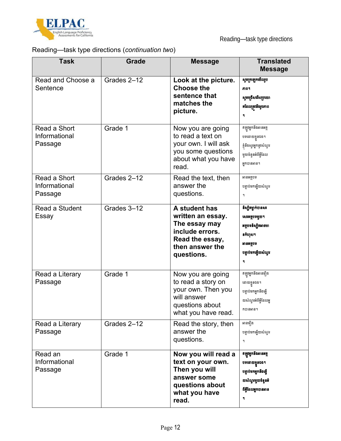

## Reading—task type directions (*continuation two*)

| <b>Task</b>                              | <b>Grade</b> | <b>Message</b>                                                                                                             | <b>Translated</b><br><b>Message</b>                                                                           |
|------------------------------------------|--------------|----------------------------------------------------------------------------------------------------------------------------|---------------------------------------------------------------------------------------------------------------|
| Read and Choose a<br>Sentence            | Grades 2-12  | Look at the picture.<br><b>Choose the</b><br>sentence that<br>matches the<br>picture.                                      | សូមព្រឡោមើលរូប<br>តាព។<br>សូមជ្រើសធីសប្រយោ<br>គដែលត្រូវនឹងរូបភាព<br>۹                                         |
| Read a Short<br>Informational<br>Passage | Grade 1      | Now you are going<br>to read a text on<br>your own. I will ask<br>you some questions<br>about what you have<br>read.       | ឥឡូវអ្នកនឹងអានអត្ថ<br>បទដោយខ្លួនឯង។<br>ខ្ញុំនឹងស្ងួរអ្នកនូវសំណួរ<br>មួយចំនួនអំពីអ្វីដែល<br>អ្នកបានអាន។        |
| Read a Short<br>Informational<br>Passage | Grades 2-12  | Read the text, then<br>answer the<br>questions.                                                                            | អានអត្ថបទ<br>បន្ទាប់មកឆ្លើយសំណួរ<br>٩                                                                         |
| Read a Student<br>Essay                  | Grades 3-12  | A student has<br>written an essay.<br>The essay may<br>include errors.<br>Read the essay,<br>then answer the<br>questions. | និស្សិតម្នាក់បានសរ<br>សេរអត្ថបទមួយ។<br>អត្ថបទនិស្សិតអាចមា<br>នកំហុស។<br>អានអត្ថបទ<br>បន្ទាប់មកឆ្លើយសំណួរ<br>٦ |
| Read a Literary<br>Passage               | Grade 1      | Now you are going<br>to read a story on<br>your own. Then you<br>will answer<br>questions about<br>what you have read.     | ឥឡូវអ្នកនឹងអានរឿង<br>ដោយខ្លួនឯង។<br>បន្ទាប់មកអ្នកនឹងឆ្អើ<br>យសំណួរអំពីអ្វីដែលអ្ន<br>កបានអាន។                  |
| Read a Literary<br>Passage               | Grades 2-12  | Read the story, then<br>answer the<br>questions.                                                                           | អានផ្ទាំង<br>បន្ទាប់មកឆ្លើយសំណួរ<br>٩                                                                         |
| Read an<br>Informational<br>Passage      | Grade 1      | Now you will read a<br>text on your own.<br>Then you will<br>answer some<br>questions about<br>what you have<br>read.      | ឥឡូវអ្នកនឹងអានអត្ថ<br>បទដោយខ្លួនឯង។<br>បន្ទាប់មកអ្នកនឹងឆ្លើ<br>យសំណួរមួយចំនួនអំ<br>ពីអ្វីដែលអ្នកបានអាន<br>۹   |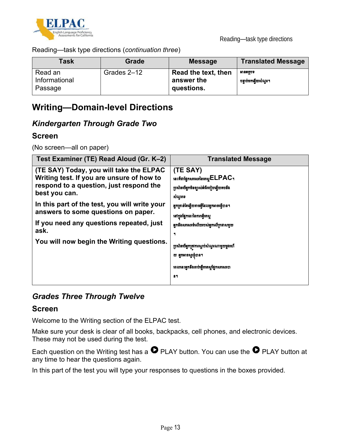

Reading—task type directions (*continuation three*)

| Task                                | <b>Grade</b> | <b>Message</b>                                  | <b>Translated Message</b>       |
|-------------------------------------|--------------|-------------------------------------------------|---------------------------------|
| Read an<br>Informational<br>Passage | Grades 2-12  | Read the text, then<br>answer the<br>questions. | អានអតបទ<br>បន្ទាប់មកឆ្លើយសំណួរ។ |

# **Writing—Domain-level Directions**

## *Kindergarten Through Grade Two*

### **Screen**

(No screen—all on paper)

| Test Examiner (TE) Read Aloud (Gr. K-2)                                                                                                                                                                                                  | <b>Translated Message</b>                                                                                                                                   |  |
|------------------------------------------------------------------------------------------------------------------------------------------------------------------------------------------------------------------------------------------|-------------------------------------------------------------------------------------------------------------------------------------------------------------|--|
| (TE SAY) Today, you will take the ELPAC<br>Writing test. If you are unsure of how to<br>respond to a question, just respond the<br>best you can.<br>In this part of the test, you will write your<br>answers to some questions on paper. | (TE SAY)<br>នេះគឺជាផ្នែកសរសេរនៃគេស្ត $\mathsf{ELPAC}$ ។<br>ប្រសិនបើអ្នកមិនច្បាស់អំពីរបៀបឆ្លើយតបនឹង<br>សំណូរទេ<br>អ្នកគ្រាន់តែឆ្លើយតាមអ្វីដែលអ្នកអាចធ្វើបាន។ |  |
| If you need any questions repeated, just<br>ask.                                                                                                                                                                                         | នៅក្នុងផ្នែកនេះនៃការធ្វើតេស្ត<br>អ្នកនឹងសរសេរចំលើយរបស់អ្នកលើក្រដាសមួយ<br>۹                                                                                  |  |
| You will now begin the Writing questions.                                                                                                                                                                                                | ប្រសិនបើអ្នកត្រវការស្ដាប់សំណួរណាមួយម្ដងហើ<br>យ អ្នកអាចស្ករខ្ញុំបាន។<br>ពេលនេះអ្នកនឹងចាប់ផ្តើមតេស្តផ្នែកសរសេរបា<br>81                                        |  |

## *Grades Three Through Twelve*

#### **Screen**

Welcome to the Writing section of the ELPAC test.

Make sure your desk is clear of all books, backpacks, cell phones, and electronic devices. These may not be used during the test.

Each question on the Writing test has a  $\bullet$  PLAY button. You can use the  $\bullet$  PLAY button at any time to hear the questions again.

In this part of the test you will type your responses to questions in the boxes provided.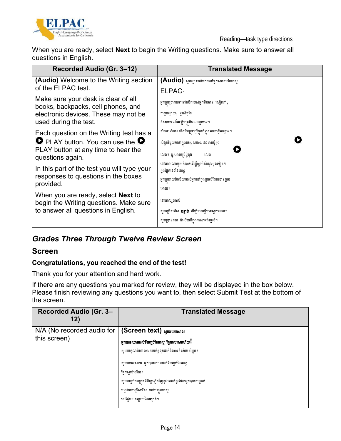

When you are ready, select **Next** to begin the Writing questions. Make sure to answer all questions in English.

| Recorded Audio (Gr. 3-12)                                                 | <b>Translated Message</b>                                        |
|---------------------------------------------------------------------------|------------------------------------------------------------------|
| <b>(Audio)</b> Welcome to the Writing section                             | (Audio) សូមស្វាគមន៍មកកាន់ផ្នែកសរសេរនៃតេស្ត                       |
| of the ELPAC test.                                                        | <b>ELPAC</b> <sup>1</sup>                                        |
| Make sure your desk is clear of all<br>books, backpacks, cell phones, and | អ្នកត្រូវប្រាកដថានៅលើតុរបស់អ្នកមិនមាន សៀវភៅ,                     |
| electronic devices. These may not be                                      | កាបូបស្ពាយ, ទូរស័ព្ទដៃ                                           |
| used during the test.                                                     | និងឧបករណ៍អេឡិចត្រនិចណាមួយទេ។                                     |
| Each question on the Writing test has a                                   | សំភារៈ ទាំងនេះនឹងមិនត្រូវប្រើក្នុងកំឡុងពេលធ្វើតេស្តទេ។           |
| <b>O</b> PLAY button. You can use the <b>O</b>                            | សំនួរនិមួយៗនៅក្នុងតេស្តសរសេរនេះមានប៉ូតុង                         |
| PLAY button at any time to hear the<br>questions again.                   | លេង។ អ្នកអាចប្រើប៊ូតុង<br>លេង                                    |
| In this part of the test you will type your                               | នៅពេលណាមួយក៏បានដើម្បីស្តាប់សំណួរម្តងទៀត។<br>ក្នុងផ្នែកនេះនៃតេស្ត |
| responses to questions in the boxes                                       |                                                                  |
| provided.                                                                 | អ្នកត្រវវាយចំលើយរបស់អ្នកនៅក្នុងប្រអប់ដែលបានផ្តល់                 |
| When you are ready, select <b>Next</b> to                                 | អោយ។                                                             |
| begin the Writing questions. Make sure                                    | នៅពេលរួចរាល់                                                     |
| to answer all questions in English.                                       | សូមជ្រើសរើស <b>បន្ទាប់</b> ដើម្បីចាប់ផ្តើមតេស្តការអាន។           |
|                                                                           | សូមប្រានដថា ចំលើយគឹក្នុងភាសាអង់គ្លេស់។                           |

# *Grades Three Through Twelve Review Screen*

### **Screen**

#### **Congratulations, you reached the end of the test!**

Thank you for your attention and hard work.

If there are any questions you marked for review, they will be displayed in the box below. Please finish reviewing any questions you want to, then select Submit Test at the bottom of the screen.

| Recorded Audio (Gr. 3-<br>12)              | <b>Translated Message</b>                                                                                                                                                                                                                                                                                                       |
|--------------------------------------------|---------------------------------------------------------------------------------------------------------------------------------------------------------------------------------------------------------------------------------------------------------------------------------------------------------------------------------|
| N/A (No recorded audio for<br>this screen) | (Screen text) வுக்காக்கின்<br>អ្នកបានឈានដល់ទីបញ្ចប់នៃតេស្ត ផ្នែកសេសេរហើយ!<br>សូមអរគុណចំពោះការយកចិត្តទុកដាក់និងការខិតខំរបស់អ្នក។<br>សូមអបអរសាទរ អ្នកបានឈានដល់ទីបញ្ចប់នៃតេស្ត<br>ផ្នែកស្ដាប់ហើយ។<br>សូមបញ្ចប់ការត្រួតពិនិត្យឡើងវិញនូវរាល់សំនួរដែលអ្នកបានសម្គាល់<br>បន្ទាប់មកជ្រើសរើស ដាក់បញ្ជូនតេស្ត<br>នៅផ្នែកខាងក្រោមនៃអេក្រង់។ |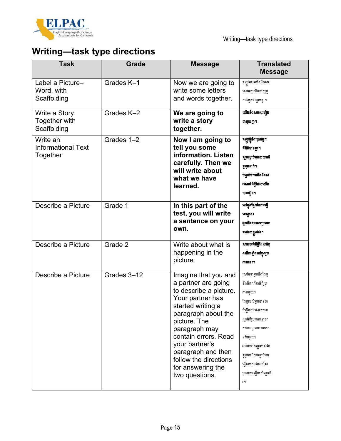

# **Writing—task type directions**

| <b>Task</b>                                       | <b>Grade</b> | <b>Message</b>                                                                                                                                                                                                                                                                                         | <b>Translated</b><br><b>Message</b>                                                                                                                                                                                                          |
|---------------------------------------------------|--------------|--------------------------------------------------------------------------------------------------------------------------------------------------------------------------------------------------------------------------------------------------------------------------------------------------------|----------------------------------------------------------------------------------------------------------------------------------------------------------------------------------------------------------------------------------------------|
| Label a Picture-<br>Word, with<br>Scaffolding     | Grades K-1   | Now we are going to<br>write some letters<br>and words together.                                                                                                                                                                                                                                       | ឥឡូវនេះយើងនឹងសរ<br>សេរអក្សរនិងពាក្យមួ<br>យចំនួនជាមួយគ្នា។                                                                                                                                                                                    |
| Write a Story<br>Together with<br>Scaffolding     | Grades K-2   | We are going to<br>write a story<br>together.                                                                                                                                                                                                                                                          | យើងនឹងសរសេរជឿង<br>ជាមួយគ្នា។                                                                                                                                                                                                                 |
| Write an<br><b>Informational Text</b><br>Together | Grades 1-2   | Now I am going to<br>tell you some<br>information. Listen<br>carefully. Then we<br>will write about<br>what we have<br>learned.                                                                                                                                                                        | ឥឡូវខ្ញុំនឹងប្រាប់អ្នក<br>ពីព័ត៌មានខ្វះ។<br>សូមស្តាប់ដោយយកចិ<br>ត្តទុកដាក់។<br>បន្ទាប់មកយើងនឹងស<br>រសេរអំពីអ្វីដែលយើង<br>បានវៀន។                                                                                                             |
| Describe a Picture                                | Grade 1      | In this part of the<br>test, you will write<br>a sentence on your<br>own.                                                                                                                                                                                                                              | នៅក្នុងផ្នែកនៃការធ្វើ<br>ពេស្តនេះ<br>អ្នកនឹងសរសេរប្រយោ<br>គដោយខ្លួនឯង។                                                                                                                                                                       |
| Describe a Picture                                | Grade 2      | Write about what is<br>happening in the<br>picture.                                                                                                                                                                                                                                                    | សរសេរអំពីអ្វីដែលកំពុ<br>ងកើតឡើងនៅក្នុងរូប<br>ភាពនេះ។                                                                                                                                                                                         |
| Describe a Picture                                | Grades 3-12  | Imagine that you and<br>a partner are going<br>to describe a picture.<br>Your partner has<br>started writing a<br>paragraph about the<br>picture. The<br>paragraph may<br>contain errors. Read<br>your partner's<br>paragraph and then<br>follow the directions<br>for answering the<br>two questions. | ស្រមៃថាអ្នកនិងដៃគ្<br>នឹងពិពណ៌នាអំពីរូប<br>ភាពមួយ។<br>ដៃគូរបស់អ្នកបានចា<br>ប់ផ្តើមសរសេរកថាខ<br>ណ្ឌអំពីរូបភាពនោះ។<br>កថាខណ្ឌនោះអាចមា<br>នកំហុស។<br>អានកថាខណ្ឌរបស់ដៃ<br>គ្គអ្នកហើយបន្ទាប់មក<br>ធ្វើតាមការណែនាំស<br>ម្រាប់ការឆ្លើយសំណួរពី<br>វ។ |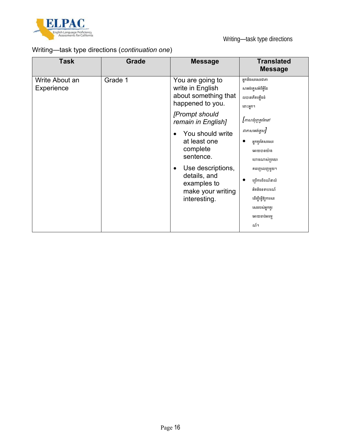

## Writing—task type directions (*continuation one*)

| <b>Task</b>                  | <b>Grade</b> | <b>Message</b>                                                                                     | <b>Translated</b><br><b>Message</b>                                                                              |
|------------------------------|--------------|----------------------------------------------------------------------------------------------------|------------------------------------------------------------------------------------------------------------------|
| Write About an<br>Experience | Grade 1      | You are going to<br>write in English<br>about something that<br>happened to you.                   | អ្នកនឹងសរសេរជាភា<br>សាអង់គ្លេសអំពីអ្វីដែ                                                                         |
|                              |              |                                                                                                    | លបានកើតឡើងចំ                                                                                                     |
|                              |              | [Prompt should<br>remain in English]                                                               | ពោះអ្នក។<br>[ភាសាជំរុញគួរតែនៅ                                                                                    |
|                              |              | You should write<br>at least one<br>complete<br>sentence.                                          | ជាភាសាអង់គ្លេស]<br>អ្នកគួរតែសរសេរ<br>អោយបានយ៉ាង<br>ហោចណាស់ប្រយោ                                                  |
|                              |              | Use descriptions,<br>$\bullet$<br>details, and<br>examples to<br>make your writing<br>interesting. | គពេញលេញមួយ។<br>ប្រើការពិពណ៌នាលំ<br>អិតនិងឧទាហរណ៍<br>ដើម្បីធ្វើឱ្យការសរ<br>សេររបស់អ្នកគួរ<br>អោយចាប់អារម្ម<br>ណ៍។ |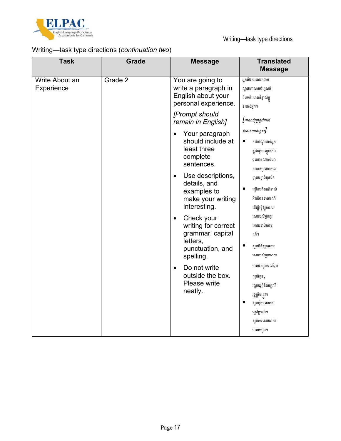

## Writing—task type directions (*continuation two*)

| <b>Grade</b> | <b>Message</b>                                                                                                                    | <b>Translated</b><br><b>Message</b>                                                                                                                                         |
|--------------|-----------------------------------------------------------------------------------------------------------------------------------|-----------------------------------------------------------------------------------------------------------------------------------------------------------------------------|
| Grade 2      | You are going to<br>write a paragraph in<br>English about your<br>personal experience.                                            | អ្នកនឹងសរសេរកថាខ<br>ណ្ឌជាភាសាអង់គ្លេសអំ<br>ពីបទពិសោធន៍ផ្ទាល់ខ្លួ<br>នរបស់អ្នក។                                                                                              |
|              | [Prompt should<br>remain in English]<br>Your paragraph<br>$\bullet$<br>should include at<br>least three<br>complete<br>sentences. | [ភាសាជំរុញគួរតែនៅ<br>ជាភាសាអង់គ្លេស]<br>កថាខណ្ឌរបស់អ្នក<br>គួរតែរួមបញ្ចូលយ៉ា<br>ងហោចណាស់អោ<br>យបានប្រយោគពេ                                                                  |
|              | details, and<br>examples to<br>make your writing<br>interesting.<br>Check your<br>$\bullet$<br>writing for correct                | ញលេញចំនួនបី។<br>ក្រើការពិពណ៌នាលំ<br>អិតនិងឧទាហរណ៍<br>ដើម្បីធ្វើឱ្យការសរ<br>សេររបស់អ្នកគួរ<br>អោយចាប់អារម្ម<br>ណ៍។                                                           |
|              | letters,<br>punctuation, and<br>spelling.<br>Do not write<br>$\bullet$<br>outside the box.<br>Please write<br>neatly.             | សូមពិនិត្យការសរ<br>សេររបស់អ្នកអោយ<br>មានវេយ្យាករណ៍,អ<br>ក្សរធំតូច ,<br>វណ្ណយុត្តិនិងអក្គរាវិ<br>រុទ្ធត្រឹមត្រូវ។<br>សូមកុំសរសេរនៅ<br>ក្រៅប្រអប់។<br>សូមសរសេរអោយ<br>មានរបៀប។ |
|              |                                                                                                                                   | Use descriptions,<br>$\bullet$<br>grammar, capital                                                                                                                          |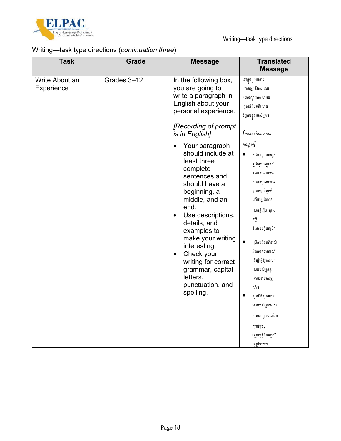

## Writing—task type directions (*continuation three*)

| <b>Task</b>                  | <b>Grade</b> | <b>Message</b>                                                                                                                                                                                                                                                                                                                                                                                                                                                                                                                                | <b>Translated</b><br><b>Message</b>                                                                                                                                                                                                                                                                                                                                                                                                                                                  |
|------------------------------|--------------|-----------------------------------------------------------------------------------------------------------------------------------------------------------------------------------------------------------------------------------------------------------------------------------------------------------------------------------------------------------------------------------------------------------------------------------------------------------------------------------------------------------------------------------------------|--------------------------------------------------------------------------------------------------------------------------------------------------------------------------------------------------------------------------------------------------------------------------------------------------------------------------------------------------------------------------------------------------------------------------------------------------------------------------------------|
| Write About an<br>Experience | Grades 3-12  | In the following box,<br>you are going to<br>write a paragraph in<br>English about your<br>personal experience.<br>[Recording of prompt<br>is in English]<br>Your paragraph<br>$\bullet$<br>should include at<br>least three<br>complete<br>sentences and<br>should have a<br>beginning, a<br>middle, and an<br>end.<br>Use descriptions,<br>$\bullet$<br>details, and<br>examples to<br>make your writing<br>interesting.<br>Check your<br>$\bullet$<br>writing for correct<br>grammar, capital<br>letters,<br>punctuation, and<br>spelling. | នៅក្នុងប្រអប់ខាង<br>ក្រោមអ្នកនឹងសរសេរ<br>កថាខណ្ឌជាភាសាអង់<br>គ្លេសអំពីបទពិសោធ<br>ន៍ផ្ទាល់ខ្លួនរបស់អ្នក។<br>$[$ ការកត់សំគាល់ភាសា<br>អង់គ្លេស]<br>កថាខណ្ឌរបស់អ្នក<br>គួរតែរួមបញ្ចូលយ៉ា<br>ងហោចណាស់អោ<br>យបានប្រយោគពេ<br>ញលេញចំនួនបី<br>ហើយគួរតែមាន<br>សេចក្តីផ្តើម ,ត្មសេ<br>ចក្តី<br>និងសេចក្តីបញ្ចប់។<br>ក្យើការពិពណ៌នាលំ<br>អិតនិងឧទាហរណ៍<br>ដើម្បីធ្វើឱ្យការសរ<br>សេររបស់អ្នកគួរ<br>អោយចាប់អារម្ម<br>ណ៍។<br>ស្ទូមពិនិត្យការសរ<br>សេររបស់អ្នកអោយ<br>មានវេយ្យាករណ៍,អ<br>ក្សួរធំតូច , |
|                              |              |                                                                                                                                                                                                                                                                                                                                                                                                                                                                                                                                               | វណ្ណយុត្តិនិងអក្គរាវិ<br>រុទ្ធត្រឹមត្រវ។                                                                                                                                                                                                                                                                                                                                                                                                                                             |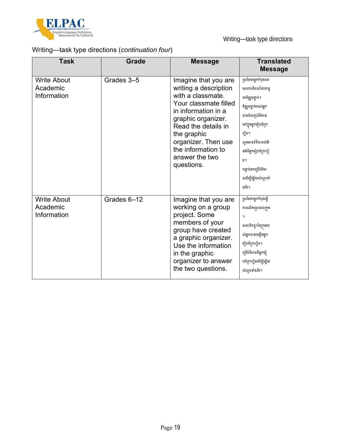

## Writing—task type directions (*continuation four*)

| <b>Task</b>                                   | Grade       | <b>Message</b>                                                                                                                                                                                                                                              | <b>Translated</b><br><b>Message</b>                                                                                                                                                                                                                    |
|-----------------------------------------------|-------------|-------------------------------------------------------------------------------------------------------------------------------------------------------------------------------------------------------------------------------------------------------------|--------------------------------------------------------------------------------------------------------------------------------------------------------------------------------------------------------------------------------------------------------|
| <b>Write About</b><br>Academic<br>Information | Grades 3-5  | Imagine that you are<br>writing a description<br>with a classmate.<br>Your classmate filled<br>in information in a<br>graphic organizer.<br>Read the details in<br>the graphic<br>organizer. Then use<br>the information to<br>answer the two<br>questions. | ស្រមៃថាអ្នកកំពុងសរ<br>សេរការពិពណ៌នាជាមួ<br>យមិត្តរួមថ្នាក់។<br>មិត្តរួមថ្នាក់របស់អ្នក<br>បានបំពេញព័ត៌មាន<br>នៅក្នុងអ្នកមៀបចំក្រា<br>ហ៊ិច។<br>សូមអានព័ត៌មានលំអិ<br>តអំពីអ្នករៀបចំក្រាហ្វិ<br>ច។<br>បន្ទាប់មកប្រើព័ត៌មា<br>នដើម្បីឆ្លើយសំណួរទាំ<br>ងពីរ។ |
| <b>Write About</b><br>Academic<br>Information | Grades 6-12 | Imagine that you are<br>working on a group<br>project. Some<br>members of your<br>group have created<br>a graphic organizer.<br>Use the information<br>in the graphic<br>organizer to answer<br>the two questions.                                          | ស្រមៃថាអ្នកកំពុងធ្វើ<br>ការលើគម្រោងជាក្រម<br>٩<br>សមាជិកខ្លះនៃក្រុមរប<br>ស់អ្នកបានបង្កើតអ្នក<br>រៀបចំក្រហ្វិច។<br>ប្រើព័ត៌មានពីអ្នកវៀ<br>បចំក្រាហ្មិចដើម្បីឆ្លើយ<br>សំណួរទាំងពីរ។                                                                      |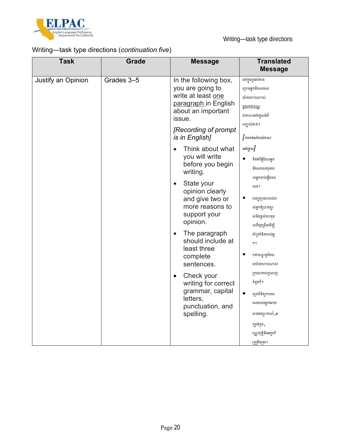

## Writing—task type directions (*continuation five*)

| <b>Task</b>        | Grade      | <b>Message</b>                                                                                                                                                                                                                                             | <b>Translated</b><br><b>Message</b>                                                                                                                                                                                                    |
|--------------------|------------|------------------------------------------------------------------------------------------------------------------------------------------------------------------------------------------------------------------------------------------------------------|----------------------------------------------------------------------------------------------------------------------------------------------------------------------------------------------------------------------------------------|
| Justify an Opinion | Grades 3-5 | In the following box,<br>you are going to<br>write at least one<br>paragraph in English<br>about an important<br>issue.<br>[Recording of prompt<br>is in English]<br>Think about what<br>$\bullet$                                                         | នៅក្នុងប្រអប់ខាង<br>ក្រោមអ្នកនឹងសរសេរ<br>យ៉ាងហោចណាស់<br><u>មួយកថាខណ្ឌ</u><br>ជាភាសាអង់គ្លេសអំពី<br>បញ្ហាសំខាន់។<br>$[$ ការកត់សំគាល់ភាសា<br>អង់គ្លេស]                                                                                   |
|                    |            | you will write<br>before you begin<br>writing.<br>State your<br>$\bullet$<br>opinion clearly<br>and give two or<br>more reasons to<br>support your<br>opinion.<br>The paragraph<br>$\bullet$<br>should include at<br>least three<br>complete<br>sentences. | គិតអំពីអ្វីដែលអ្នក<br>$\bullet$<br>នឹងសរសេរមុនពេ<br>លអ្នកចាប់ផ្តើមសរ<br>សេរ។<br>បញ្ចេញយោបល់រប<br>ស់អ្នកឱ្យបានច្បា<br>ស់និងផ្តល់ហេតុផ<br>លពីរឬត្រើនដើម្បី<br>គាំទ្រគំនិតរបស់អ្ន<br>ñ٩<br>កថាខណ្ឌគួរតែមា<br>នយ៉ាងហោចណាស់<br>ប្រយោគពេញលេញ |
|                    |            | Check your<br>$\bullet$<br>writing for correct<br>grammar, capital<br>letters,<br>punctuation, and<br>spelling.                                                                                                                                            | ចំនួនបី។<br>ស្ទួមពិនិត្យការសរ<br>សេររបស់អ្នកអោយ<br>មានវេយ្យាករណ៍,អ<br>ក្សួរធំតូច ,<br>វណ្ណយុត្តិនិងអក្តរាវិ<br>រុទ្ធត្រឹមត្រវ។                                                                                                         |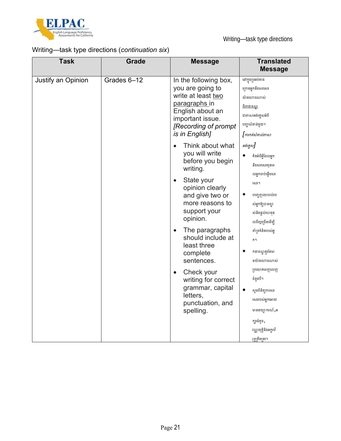

## Writing—task type directions (*continuation six*)

| Justify an Opinion | Grades 6-12 | In the following box,                                                                                                                                                                                                                                                                                                                                                                                           | នៅក្នុងប្រអប់ខាង                                                                                                                                                                                                                                                                                                                                                                   |
|--------------------|-------------|-----------------------------------------------------------------------------------------------------------------------------------------------------------------------------------------------------------------------------------------------------------------------------------------------------------------------------------------------------------------------------------------------------------------|------------------------------------------------------------------------------------------------------------------------------------------------------------------------------------------------------------------------------------------------------------------------------------------------------------------------------------------------------------------------------------|
|                    |             | you are going to<br>write at least two<br>paragraphs in<br>English about an<br>important issue.<br>[Recording of prompt<br>is in English]                                                                                                                                                                                                                                                                       | ក្រោមអ្នកនឹងសរសេរ<br>យ៉ាងហោចណាស់<br><u>ពីរកថាខណ្ឌ</u><br>ជាភាសាអង់គ្លេសអំពី<br>បញ្ហាសំខាន់មួយ។<br>[ការកត់សំគាល់ភាសា                                                                                                                                                                                                                                                                |
|                    |             | Think about what<br>$\bullet$<br>you will write<br>before you begin<br>writing.<br>State your<br>$\bullet$<br>opinion clearly<br>and give two or<br>more reasons to<br>support your<br>opinion.<br>The paragraphs<br>$\bullet$<br>should include at<br>least three<br>complete<br>sentences.<br>Check your<br>$\bullet$<br>writing for correct<br>grammar, capital<br>letters,<br>punctuation, and<br>spelling. | អង់គ្លេស]<br>គិតអំពីអ្វីដែលអ្នក<br>នឹងសរសេរមុនពេ<br>លអ្នកចាប់ផ្តើមសរ<br>សេរ។<br>បញ្ចេញយោបល់រប<br>ស់អ្នកឱ្យបានច្បា<br>ស់និងផ្តល់ហេតុផ<br>លពីរឬប្រើនដើម្បី<br>គាំទ្រគំនិតរបស់អ្<br>۴i<br>កថាខណ្ឌគួរតែមា<br>$\bullet$<br>នយ៉ាងហោចណាស់<br>ប្រយោគពេញលេញ<br>ចំនួនបី។<br>ស្ទួមពិនិត្យការសរ<br>សេររបស់អ្នកអោយ<br>មានវេយ្យាករណ៍,អ<br>ក្សរធំតូច,<br>វណ្ណយុត្តិនិងអក្គរាវិ<br>រុទ្ធត្រឹមត្រវ។ |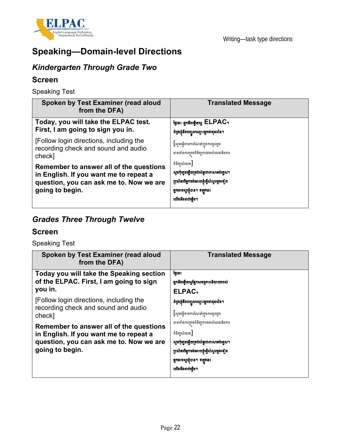

# **Speaking—Domain-level Directions**

## *Kindergarten Through Grade Two*

#### **Screen**

Speaking Test

| Spoken by Test Examiner (read aloud<br>from the DFA)                                                                                            | <b>Translated Message</b>                                                                                                                             |
|-------------------------------------------------------------------------------------------------------------------------------------------------|-------------------------------------------------------------------------------------------------------------------------------------------------------|
| Today, you will take the ELPAC test.<br>First, I am going to sign you in.                                                                       | ថ្ងៃនេះ អ្នកនឹងធ្វើតេស្ត ELPAC <sub>1</sub><br>ដំបូងខ្ញុំនឹងបញ្ចូលឈ្មោះអ្នកជាមុនសិន។                                                                  |
| [Follow login directions, including the<br>recording check and sound and audio<br>check]                                                        | [សូមធ្វើតាមការណែនាំក្នុងការចូលរួម<br>មានទាំងការត្រតពិនិត្យការថតសំលេងនិងការ                                                                            |
| Remember to answer all of the questions<br>in English. If you want me to repeat a<br>question, you can ask me to. Now we are<br>going to begin. | ពិនិត្យសំលេង<br>សួមកុំភ្លេចឆ្លើយគ្រប់សំនួរជាភាសាអង់គ្លេស។<br>ប្រសិនបើអ្នកចង់អោយខ្ញុំធ្វើសំណួរម្តងទៀត<br>អ្នកអាចសួរខ្ញុំបាន។ ឥឡូវនេះ<br>យើងនឹងចាប់ជើម។ |

# *Grades Three Through Twelve*

#### **Screen**

Speaking Test

| Spoken by Test Examiner (read aloud<br>from the DFA)                                                                                            | <b>Translated Message</b>                                                                                                                                                                            |  |
|-------------------------------------------------------------------------------------------------------------------------------------------------|------------------------------------------------------------------------------------------------------------------------------------------------------------------------------------------------------|--|
| Today you will take the Speaking section<br>of the ELPAC. First, I am going to sign<br>you in.                                                  | ថ្ងៃនេះ<br>អ្នកនឹងធ្វើតេស្តផ្នែកសមត្ថភាពនិយាយរបស់<br>ELPAC <sub>1</sub>                                                                                                                              |  |
| [Follow login directions, including the<br>recording check and sound and audio<br>check]                                                        | ដំបូងខ្ញុំនឹងបញ្ចូលឈ្មោះអ្នកជាមុនសិន។<br>[សូមធ្វើតាមការណែនាំក្នុងការចូលរួម                                                                                                                           |  |
| Remember to answer all of the questions<br>in English. If you want me to repeat a<br>question, you can ask me to. Now we are<br>going to begin. | មានទាំងការត្រតពិនិត្យការថតសំលេងនិងការ<br>ពិនិត្យសំលេង<br>សូមកុំភ្លេចឆ្លើយគ្រប់សំនួរជាភាសាអង់គ្លេស។<br>ប្រសិនបើអ្នកចង់អោយខ្ញុំធ្វើសំណ្លូវម្តងទៀត<br>អ្នកអាចស្ចូរខ្ញុំបាន។ ឥឡូវនេះ<br>យើងនឹងចាប់ផ្តើម។ |  |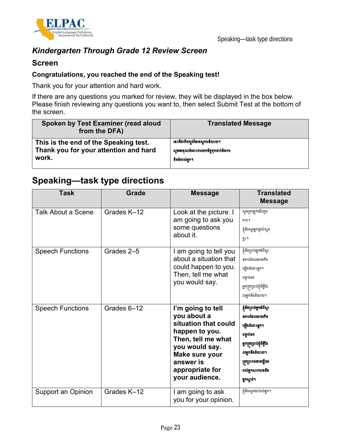

## *Kindergarten Through Grade 12 Review Screen*

#### **Screen**

#### **Congratulations, you reached the end of the Speaking test!**

Thank you for your attention and hard work.

If there are any questions you marked for review, they will be displayed in the box below. Please finish reviewing any questions you want to, then select Submit Test at the bottom of the screen.

| Spoken by Test Examiner (read aloud<br>from the DFA) | <b>Translated Message</b>            |
|------------------------------------------------------|--------------------------------------|
| This is the end of the Speaking test.                | នេះគឺជាទីបញ្ចប់នៃតេស្តការនិយាយ។      |
| Thank you for your attention and hard                | សូមអរគុណចំពោះការយកចិត្តទុកដាក់និងការ |
| work.                                                | ទិតទំរបស់អក។                         |

# **Speaking—task type directions**

| <b>Task</b>               | <b>Grade</b> | <b>Message</b>                                                                                                                                                                         | <b>Translated</b><br><b>Message</b>                                                                                                                                                   |
|---------------------------|--------------|----------------------------------------------------------------------------------------------------------------------------------------------------------------------------------------|---------------------------------------------------------------------------------------------------------------------------------------------------------------------------------------|
| <b>Talk About a Scene</b> | Grades K-12  | Look at the picture. I<br>am going to ask you<br>some questions<br>about it.                                                                                                           | សូមក្រឡេកមើលរូប<br>ភាព។<br>ខ្ញុំនឹងសួរអ្នកនូវសំណួរ<br>ខ្លះ។                                                                                                                           |
| <b>Speech Functions</b>   | Grades 2-5   | I am going to tell you<br>about a situation that<br>could happen to you.<br>Then, tell me what<br>you would say.                                                                       | ខ្ញុំនឹងប្រាប់អ្នកអំពីស្ថា<br>នភាពដែលអាចកើត<br>ឡើងចំពោះអ្នក។<br>បន្ទាប់មក<br>អ្នកត្រូវប្រាប់ខ្ញុំពីអ្វីដែ<br>លអ្នកនឹងនិយាយ។                                                           |
| <b>Speech Functions</b>   | Grades 6-12  | I'm going to tell<br>you about a<br>situation that could<br>happen to you.<br>Then, tell me what<br>you would say.<br>Make sure your<br>answer is<br>appropriate for<br>your audience. | ខ្ញុំនឹងប្រាប់អ្នកអំពីស្ថា<br>នភាពដែលអាចកើត<br>ឡើងចំពោះអ្នក។<br>បន្ទាប់មក<br>អ្នកត្រូវប្រាប់ខ្ញុំពីអ្វីដែ<br>លអ្នកនឹងនិយាយ។<br>ត្រូវប្រាកដថាចម្លើយរ<br>បស់អ្នកសាកសមន៏ង<br>អ្នកស្តាប់។ |
| Support an Opinion        | Grades K-12  | I am going to ask<br>you for your opinion.                                                                                                                                             | ខ្ញុំនឹងសួរយោបល់អ្នក។                                                                                                                                                                 |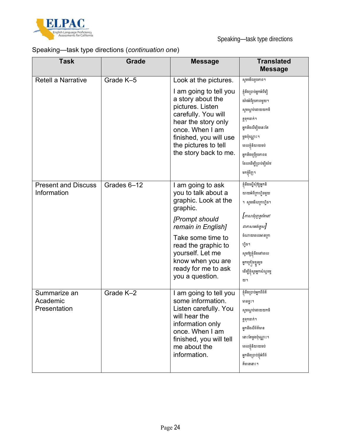

## Speaking—task type directions (*continuation one*)

| <b>Task</b>                               | <b>Grade</b> | <b>Message</b>                                                                                                                                                                                                                                      | <b>Translated</b><br><b>Message</b>                                                                                                                                                                                         |
|-------------------------------------------|--------------|-----------------------------------------------------------------------------------------------------------------------------------------------------------------------------------------------------------------------------------------------------|-----------------------------------------------------------------------------------------------------------------------------------------------------------------------------------------------------------------------------|
| <b>Retell a Narrative</b>                 | Grade K-5    | Look at the pictures.                                                                                                                                                                                                                               | សូមមើលរូបភាព។                                                                                                                                                                                                               |
|                                           |              | I am going to tell you<br>a story about the<br>pictures. Listen<br>carefully. You will<br>hear the story only<br>once. When I am<br>finished, you will use<br>the pictures to tell<br>the story back to me.                                         | ខ្ញុំនឹងប្រាប់អ្នកអំពីជឿ<br>ងរ៉ាវអំពីរូបភាពមួយ។<br>សូមស្តាប់ដោយយកចិ<br>ត្តទុកដាក់។<br>អ្នកនឹងលឺអ៊ឿងនេះតែ<br>ម្តងប៉ុណ្ណោះ។<br>ពេលខ្ញុំនិយាយចប់<br>អ្នកនឹងប្រើរូបភាពដ<br>ដែលដើម្បីប្រាប់មឿងរ៉ាវ<br>មកខ្ញុំវិញ។                |
| <b>Present and Discuss</b><br>Information | Grades 6-12  | I am going to ask<br>you to talk about a<br>graphic. Look at the<br>graphic.<br>[Prompt should<br>remain in English]<br>Take some time to<br>read the graphic to<br>yourself. Let me<br>know when you are<br>ready for me to ask<br>you a question. | ខ្ញុំនឹងស្នើសុំឱ្យអ្នកនិ<br>យាយអំពីក្រាហ្វិចមួយ<br>។ សូមមើលក្រាហ្វិច។<br>[ភាសាជំរុញគួរតែនៅ<br>ជាភាសាអង់គ្លេស]<br>ចំណាយពេលអានក្រា<br>ហ្មិច។<br>សូមឱ្យខ្ញុំដឹងនៅពេល<br>អ្នកគ្រៀមខ្លួនរួច<br>ដើម្បីខ្ញុំស្ងួរអ្នកសំណួរមួ<br>យ។ |
| Summarize an<br>Academic<br>Presentation  | Grade K-2    | I am going to tell you<br>some information.<br>Listen carefully. You<br>will hear the<br>information only<br>once. When I am<br>finished, you will tell<br>me about the<br>information.                                                             | ខ្ញុំនឹងប្រាប់អ្នកពីព័ត៌<br>មានខ្លះ។<br>សូមស្ដាប់ដោយយកចិ<br>ត្តទុកដាក់។<br>អ្នកនឹងលឺព័ត៌មាន<br>នោះតែម្តងប៉ុណ្ណោះ។<br>ពេលខ្ញុំនិយាយចប់<br>អ្នកនឹងប្រាប់ខ្ញុំអំពីព័<br>ត៌មាននោះ។                                              |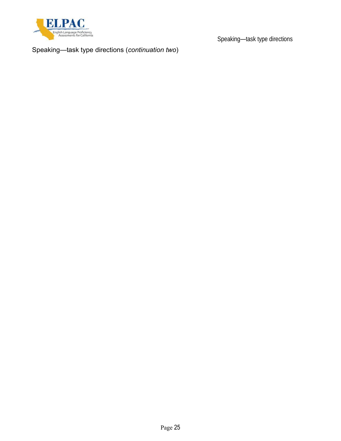

Speaking—task type directions

Speaking—task type directions (*continuation two*)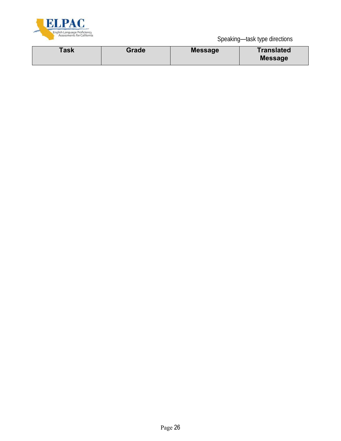

Speaking—task type directions

| <b>Message</b> |
|----------------|
|----------------|